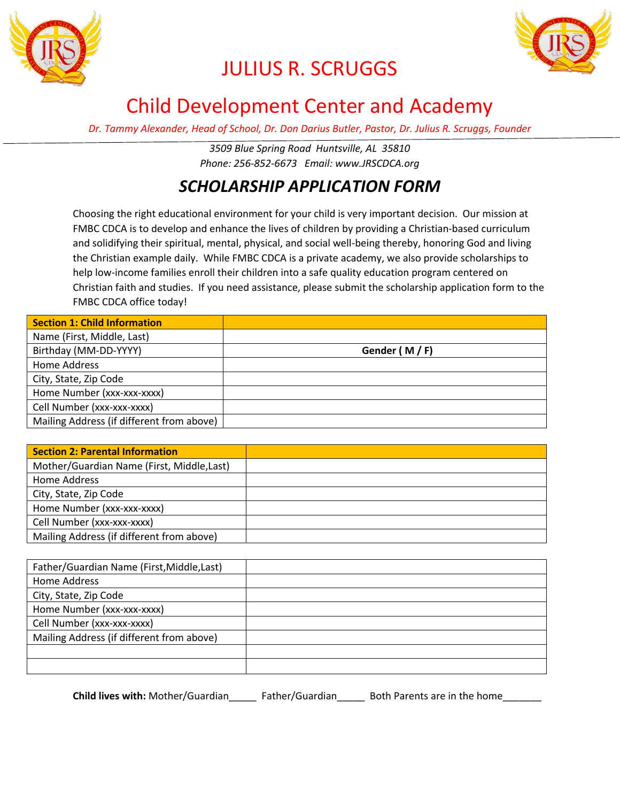



## JULIUS R. SCRUGGS

### Child Development Center and Academy

*Dr. Tammy Alexander, Head of School, Dr. Don Darius Butler, Pastor, Dr. Julius R. Scruggs, Founder*

*3509 Blue Spring Road Huntsville, AL 35810 Phone: 256-852-6673 Email: www.JRSCDCA.org*

#### *SCHOLARSHIP APPLICATION FORM*

Choosing the right educational environment for your child is very important decision. Our mission at FMBC CDCA is to develop and enhance the lives of children by providing a Christian-based curriculum and solidifying their spiritual, mental, physical, and social well-being thereby, honoring God and living the Christian example daily. While FMBC CDCA is a private academy, we also provide scholarships to help low-income families enroll their children into a safe quality education program centered on Christian faith and studies. If you need assistance, please submit the scholarship application form to the FMBC CDCA office today!

| Section 1: Child Information              |              |
|-------------------------------------------|--------------|
| Name (First, Middle, Last)                |              |
| Birthday (MM-DD-YYYY)                     | Gender (M/F) |
| <b>Home Address</b>                       |              |
| City, State, Zip Code                     |              |
| Home Number (xxx-xxx-xxxx)                |              |
| Cell Number (xxx-xxx-xxxx)                |              |
| Mailing Address (if different from above) |              |

| <b>Section 2: Parental Information</b>     |  |
|--------------------------------------------|--|
| Mother/Guardian Name (First, Middle, Last) |  |
| Home Address                               |  |
| City, State, Zip Code                      |  |
| Home Number (xxx-xxx-xxxx)                 |  |
| Cell Number (xxx-xxx-xxxx)                 |  |
| Mailing Address (if different from above)  |  |

| Father/Guardian Name (First, Middle, Last) |  |
|--------------------------------------------|--|
| <b>Home Address</b>                        |  |
| City, State, Zip Code                      |  |
| Home Number (xxx-xxx-xxxx)                 |  |
| Cell Number (xxx-xxx-xxxx)                 |  |
| Mailing Address (if different from above)  |  |
|                                            |  |
|                                            |  |

**Child lives with:** Mother/Guardian\_\_\_\_\_ Father/Guardian\_\_\_\_\_ Both Parents are in the home\_\_\_\_\_\_\_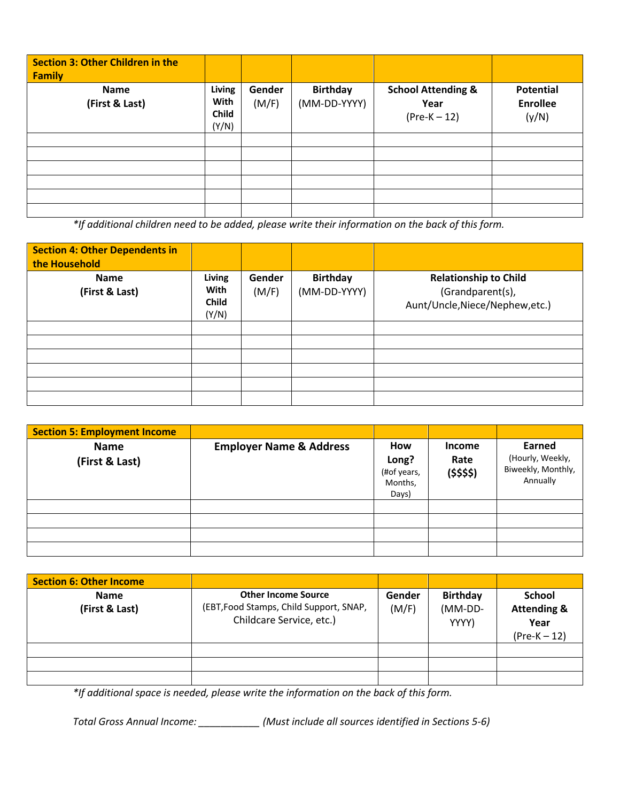| <b>Section 3: Other Children in the</b><br><b>Family</b> |                                         |                 |                                 |                                                         |                                              |
|----------------------------------------------------------|-----------------------------------------|-----------------|---------------------------------|---------------------------------------------------------|----------------------------------------------|
| <b>Name</b><br>(First & Last)                            | Living<br>With<br><b>Child</b><br>(Y/N) | Gender<br>(M/F) | <b>Birthday</b><br>(MM-DD-YYYY) | <b>School Attending &amp;</b><br>Year<br>$(Pre-K – 12)$ | <b>Potential</b><br><b>Enrollee</b><br>(y/N) |
|                                                          |                                         |                 |                                 |                                                         |                                              |
|                                                          |                                         |                 |                                 |                                                         |                                              |

*\*If additional children need to be added, please write their information on the back of this form.*

| <b>Section 4: Other Dependents in</b><br>the Household |                                                |                 |                                 |                                                                                     |
|--------------------------------------------------------|------------------------------------------------|-----------------|---------------------------------|-------------------------------------------------------------------------------------|
| <b>Name</b><br>(First & Last)                          | Living<br><b>With</b><br><b>Child</b><br>(Y/N) | Gender<br>(M/F) | <b>Birthday</b><br>(MM-DD-YYYY) | <b>Relationship to Child</b><br>(Grandparent(s),<br>Aunt/Uncle, Niece/Nephew, etc.) |
|                                                        |                                                |                 |                                 |                                                                                     |
|                                                        |                                                |                 |                                 |                                                                                     |
|                                                        |                                                |                 |                                 |                                                                                     |
|                                                        |                                                |                 |                                 |                                                                                     |
|                                                        |                                                |                 |                                 |                                                                                     |
|                                                        |                                                |                 |                                 |                                                                                     |

| <b>Section 5: Employment Income</b> |                                    |                                                        |                                        |                                                              |
|-------------------------------------|------------------------------------|--------------------------------------------------------|----------------------------------------|--------------------------------------------------------------|
| <b>Name</b><br>(First & Last)       | <b>Employer Name &amp; Address</b> | <b>How</b><br>Long?<br>(#of years,<br>Months,<br>Days) | <b>Income</b><br>Rate<br>$($ \$\$\$\$) | Earned<br>(Hourly, Weekly,<br>Biweekly, Monthly,<br>Annually |
|                                     |                                    |                                                        |                                        |                                                              |
|                                     |                                    |                                                        |                                        |                                                              |
|                                     |                                    |                                                        |                                        |                                                              |
|                                     |                                    |                                                        |                                        |                                                              |

| <b>Section 6: Other Income</b> |                                                                                                   |                 |                                     |                                                                   |
|--------------------------------|---------------------------------------------------------------------------------------------------|-----------------|-------------------------------------|-------------------------------------------------------------------|
| <b>Name</b><br>(First & Last)  | <b>Other Income Source</b><br>(EBT, Food Stamps, Child Support, SNAP,<br>Childcare Service, etc.) | Gender<br>(M/F) | <b>Birthday</b><br>(MM-DD-<br>YYYY) | <b>School</b><br><b>Attending &amp;</b><br>Year<br>$(Pre-K – 12)$ |
|                                |                                                                                                   |                 |                                     |                                                                   |
|                                |                                                                                                   |                 |                                     |                                                                   |
|                                |                                                                                                   |                 |                                     |                                                                   |

*\*If additional space is needed, please write the information on the back of this form.*

*Total Gross Annual Income: \_\_\_\_\_\_\_\_\_\_\_ (Must include all sources identified in Sections 5-6)*